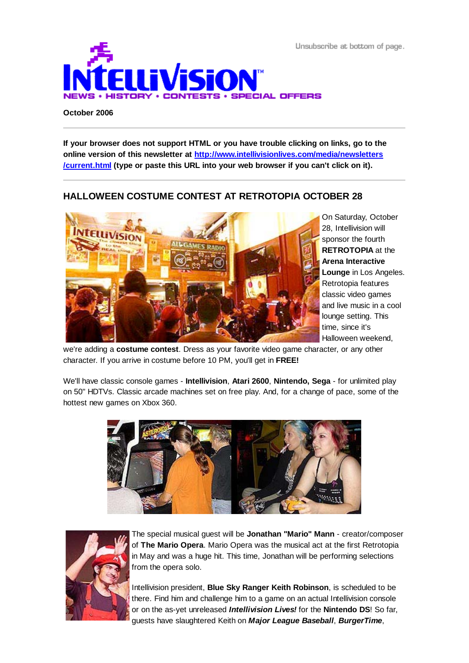Unsubscribe at bottom of page.



#### **October 2006**

**If your browser does not support HTML or you have trouble clicking on links, go to the online version of this newsletter at http://www.intellivisionlives.com/media/newsletters /current.html (type or paste this URL into your web browser if you can't click on it).**

## **HALLOWEEN COSTUME CONTEST AT RETROTOPIA OCTOBER 28**



On Saturday, October 28, Intellivision will sponsor the fourth **RETROTOPIA** at the **Arena Interactive Lounge** in Los Angeles. Retrotopia features classic video games and live music in a cool lounge setting. This time, since it's Halloween weekend,

we're adding a **costume contest**. Dress as your favorite video game character, or any other character. If you arrive in costume before 10 PM, you'll get in **FREE!**

We'll have classic console games - **Intellivision**, **Atari 2600**, **Nintendo, Sega** - for unlimited play on 50" HDTVs. Classic arcade machines set on free play. And, for a change of pace, some of the hottest new games on Xbox 360.





The special musical guest will be **Jonathan "Mario" Mann** - creator/composer of **The Mario Opera**. Mario Opera was the musical act at the first Retrotopia in May and was a huge hit. This time, Jonathan will be performing selections from the opera solo.

Intellivision president, **Blue Sky Ranger Keith Robinson**, is scheduled to be there. Find him and challenge him to a game on an actual Intellivision console or on the as-yet unreleased *Intellivision Lives!* for the **Nintendo DS**! So far, guests have slaughtered Keith on *Major League Baseball*, *BurgerTime*,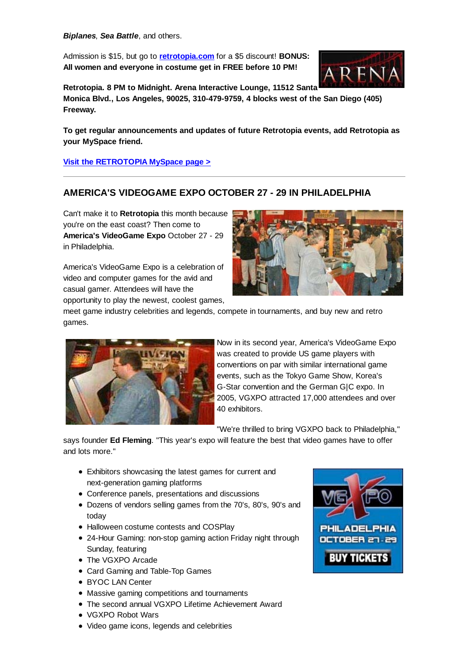*Biplanes*, *Sea Battle*, and others.

Admission is \$15, but go to **retrotopia.com** for a \$5 discount! **BONUS: All women and everyone in costume get in FREE before 10 PM!**



**Retrotopia. 8 PM to Midnight. Arena Interactive Lounge, 11512 Santa Monica Blvd., Los Angeles, 90025, 310-479-9759, 4 blocks west of the San Diego (405) Freeway.**

**To get regular announcements and updates of future Retrotopia events, add Retrotopia as your MySpace friend.**

**Visit the RETROTOPIA MySpace page >**

# **AMERICA'S VIDEOGAME EXPO OCTOBER 27 - 29 IN PHILADELPHIA**

Can't make it to **Retrotopia** this month because you're on the east coast? Then come to **America's VideoGame Expo** October 27 - 29 in Philadelphia.

America's VideoGame Expo is a celebration of video and computer games for the avid and casual gamer. Attendees will have the opportunity to play the newest, coolest games,



meet game industry celebrities and legends, compete in tournaments, and buy new and retro games.



Now in its second year, America's VideoGame Expo was created to provide US game players with conventions on par with similar international game events, such as the Tokyo Game Show, Korea's G-Star convention and the German G|C expo. In 2005, VGXPO attracted 17,000 attendees and over 40 exhibitors.

"We're thrilled to bring VGXPO back to Philadelphia,"

says founder **Ed Fleming**. "This year's expo will feature the best that video games have to offer and lots more."

- Exhibitors showcasing the latest games for current and next-generation gaming platforms
- Conference panels, presentations and discussions
- Dozens of vendors selling games from the 70's, 80's, 90's and today
- Halloween costume contests and COSPlay
- 24-Hour Gaming: non-stop gaming action Friday night through Sunday, featuring
- The VGXPO Arcade
- Card Gaming and Table-Top Games
- BYOC LAN Center
- Massive gaming competitions and tournaments
- The second annual VGXPO Lifetime Achievement Award
- VGXPO Robot Wars
- Video game icons, legends and celebrities

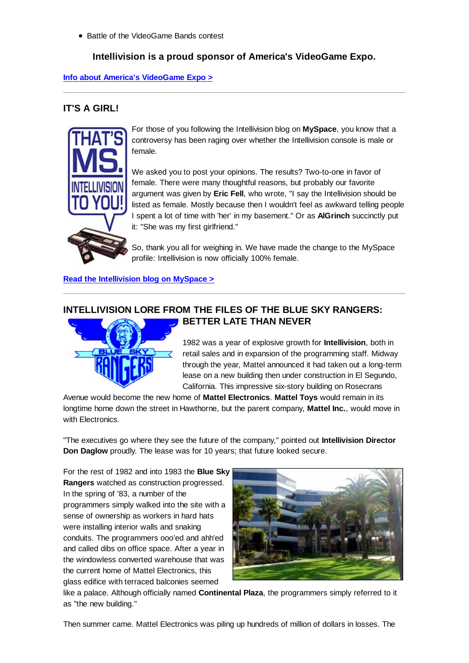• Battle of the VideoGame Bands contest

### **Intellivision is a proud sponsor of America's VideoGame Expo.**

### **Info about America's VideoGame Expo >**

## **IT'S A GIRL!**



For those of you following the Intellivision blog on **MySpace**, you know that a controversy has been raging over whether the Intellivision console is male or female.

We asked you to post your opinions. The results? Two-to-one in favor of female. There were many thoughtful reasons, but probably our favorite argument was given by **Eric Fell**, who wrote, "I say the Intellivision should be listed as female. Mostly because then I wouldn't feel as awkward telling people I spent a lot of time with 'her' in my basement." Or as **AlGrinch** succinctly put it: "She was my first girlfriend."

So, thank you all for weighing in. We have made the change to the MySpace profile: Intellivision is now officially 100% female.

**Read the Intellivision blog on MySpace >**

# **INTELLIVISION LORE FROM THE FILES OF THE BLUE SKY RANGERS: BETTER LATE THAN NEVER**



1982 was a year of explosive growth for **Intellivision**, both in retail sales and in expansion of the programming staff. Midway through the year, Mattel announced it had taken out a long-term lease on a new building then under construction in El Segundo, California. This impressive six-story building on Rosecrans

Avenue would become the new home of **Mattel Electronics**. **Mattel Toys** would remain in its longtime home down the street in Hawthorne, but the parent company, **Mattel Inc.**, would move in with Electronics.

"The executives go where they see the future of the company," pointed out **Intellivision Director Don Daglow** proudly. The lease was for 10 years; that future looked secure.

For the rest of 1982 and into 1983 the **Blue Sky Rangers** watched as construction progressed. In the spring of '83, a number of the programmers simply walked into the site with a sense of ownership as workers in hard hats were installing interior walls and snaking conduits. The programmers ooo'ed and ahh'ed and called dibs on office space. After a year in the windowless converted warehouse that was the current home of Mattel Electronics, this glass edifice with terraced balconies seemed



like a palace. Although officially named **Continental Plaza**, the programmers simply referred to it as "the new building."

Then summer came. Mattel Electronics was piling up hundreds of million of dollars in losses. The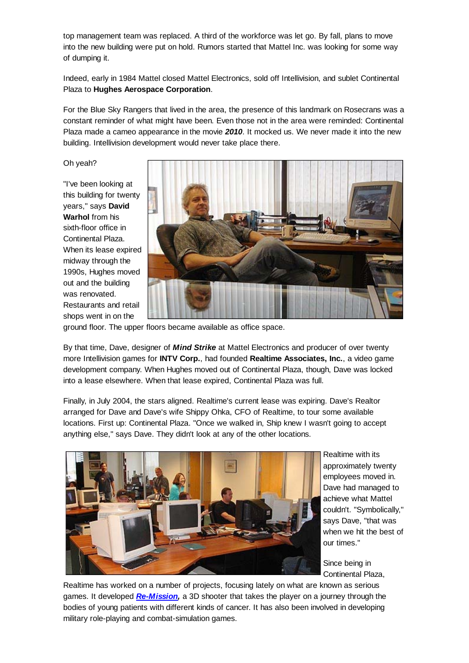top management team was replaced. A third of the workforce was let go. By fall, plans to move into the new building were put on hold. Rumors started that Mattel Inc. was looking for some way of dumping it.

Indeed, early in 1984 Mattel closed Mattel Electronics, sold off Intellivision, and sublet Continental Plaza to **Hughes Aerospace Corporation**.

For the Blue Sky Rangers that lived in the area, the presence of this landmark on Rosecrans was a constant reminder of what might have been. Even those not in the area were reminded: Continental Plaza made a cameo appearance in the movie *2010*. It mocked us. We never made it into the new building. Intellivision development would never take place there.

Oh yeah?

"I've been looking at this building for twenty years," says **David Warhol** from his sixth-floor office in Continental Plaza. When its lease expired midway through the 1990s, Hughes moved out and the building was renovated. Restaurants and retail shops went in on the



ground floor. The upper floors became available as office space.

By that time, Dave, designer of *Mind Strike* at Mattel Electronics and producer of over twenty more Intellivision games for **INTV Corp.**, had founded **Realtime Associates, Inc.**, a video game development company. When Hughes moved out of Continental Plaza, though, Dave was locked into a lease elsewhere. When that lease expired, Continental Plaza was full.

Finally, in July 2004, the stars aligned. Realtime's current lease was expiring. Dave's Realtor arranged for Dave and Dave's wife Shippy Ohka, CFO of Realtime, to tour some available locations. First up: Continental Plaza. "Once we walked in, Ship knew I wasn't going to accept anything else," says Dave. They didn't look at any of the other locations.



Realtime with its approximately twenty employees moved in. Dave had managed to achieve what Mattel couldn't. "Symbolically," says Dave, "that was when we hit the best of our times."

Since being in Continental Plaza,

Realtime has worked on a number of projects, focusing lately on what are known as serious games. It developed *Re-Mission,* a 3D shooter that takes the player on a journey through the bodies of young patients with different kinds of cancer. It has also been involved in developing military role-playing and combat-simulation games.